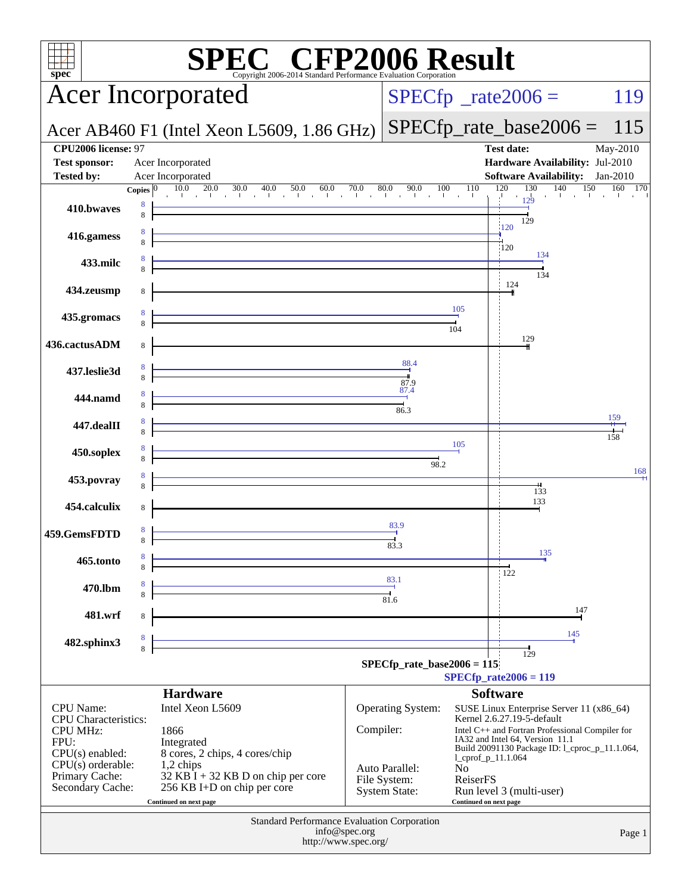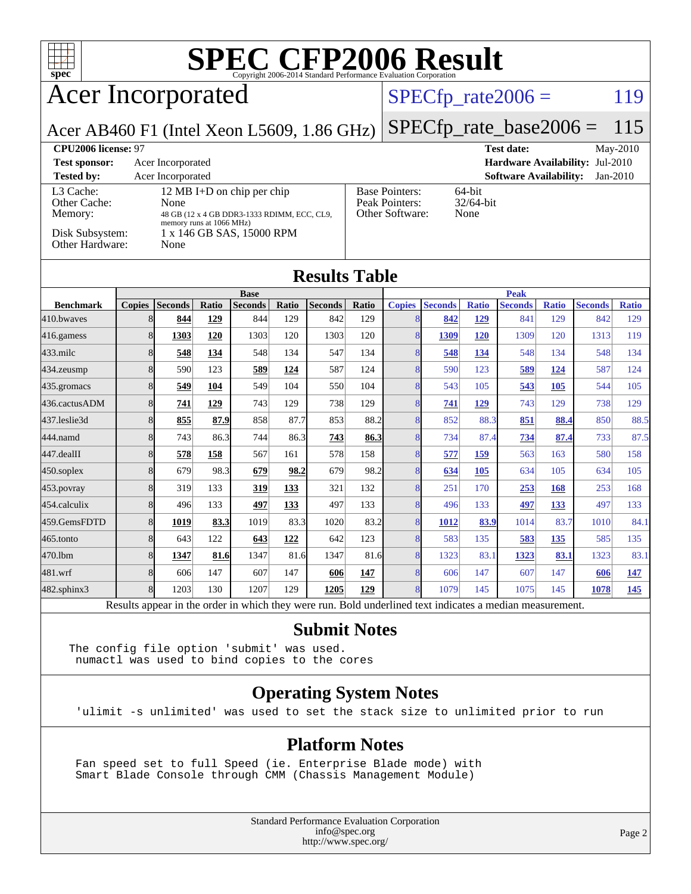

# Acer Incorporated

## $SPECTp_rate2006 = 119$

Acer AB460 F1 (Intel Xeon L5609, 1.86 GHz)

[SPECfp\\_rate\\_base2006 =](http://www.spec.org/auto/cpu2006/Docs/result-fields.html#SPECfpratebase2006) 115

| CPU <sub>2006</sub> license: 97      |                                                                                                               | <b>Test date:</b><br>May-2010                              |                                             |
|--------------------------------------|---------------------------------------------------------------------------------------------------------------|------------------------------------------------------------|---------------------------------------------|
| <b>Test sponsor:</b>                 | Acer Incorporated                                                                                             |                                                            | Hardware Availability: Jul-2010             |
| <b>Tested by:</b>                    | Acer Incorporated                                                                                             |                                                            | <b>Software Availability:</b><br>$Jan-2010$ |
| L3 Cache:<br>Other Cache:<br>Memory: | 12 MB I+D on chip per chip<br>None<br>48 GB (12 x 4 GB DDR3-1333 RDIMM, ECC, CL9,<br>memory runs at 1066 MHz) | <b>Base Pointers:</b><br>Peak Pointers:<br>Other Software: | $64$ -bit<br>$32/64$ -bit<br>None           |
| Disk Subsystem:<br>Other Hardware:   | 1 x 146 GB SAS, 15000 RPM<br>None                                                                             |                                                            |                                             |

### **[Results Table](http://www.spec.org/auto/cpu2006/Docs/result-fields.html#ResultsTable)**

|                  | <b>Base</b>    |                 |              |                |       | <b>Peak</b>    |                           |                |                |              |                |              |                |              |
|------------------|----------------|-----------------|--------------|----------------|-------|----------------|---------------------------|----------------|----------------|--------------|----------------|--------------|----------------|--------------|
| <b>Benchmark</b> | <b>Copies</b>  | <b>Seconds</b>  | Ratio        | <b>Seconds</b> | Ratio | <b>Seconds</b> | Ratio                     | <b>Copies</b>  | <b>Seconds</b> | <b>Ratio</b> | <b>Seconds</b> | <b>Ratio</b> | <b>Seconds</b> | <b>Ratio</b> |
| 410.bwaves       | 8              | 844             | 129          | 844            | 129   | 842            | 129                       |                | 842            | 129          | 841            | 129          | 842            | 129          |
| 416.gamess       | 8              | 1303            | 120          | 1303           | 120   | 1303           | 120                       | 8              | 1309           | 120          | 1309           | 120          | 1313           | 119          |
| 433.milc         | 8              | 548             | 134          | 548            | 134   | 547            | 134                       | 8              | 548            | <u>134</u>   | 548            | 134          | 548            | 134          |
| 434.zeusmp       | 8              | 590             | 123          | 589            | 124   | 587            | 124                       | 8              | 590            | 123          | 589            | <u>124</u>   | 587            | 124          |
| 435.gromacs      | 8              | 549             | 104          | 549            | 104   | 550            | 104                       | 8              | 543            | 105          | 543            | 105          | 544            | 105          |
| 436.cactusADM    | 8              | 741             | 129          | 743            | 129   | 738            | 129                       | 8              | 741            | 129          | 743            | 129          | 738            | 129          |
| 437.leslie3d     | 8              | 855             | 87.9         | 858            | 87.7  | 853            | 88.2                      | 8              | 852            | 88.3         | 851            | 88.4         | 850            | 88.5         |
| 444.namd         | 8              | 743             | 86.3         | 744            | 86.3  | 743            | 86.3                      | 8              | 734            | 87.4         | 734            | 87.4         | 733            | 87.5         |
| $447$ .dealII    | 8              | 578             | 158          | 567            | 161   | 578            | 158                       | $\overline{8}$ | 577            | <u>159</u>   | 563            | 163          | 580            | 158          |
| $450$ .soplex    | 8              | 679             | 98.3         | 679            | 98.2  | 679            | 98.2                      | 8              | 634            | 105          | 634            | 105          | 634            | 105          |
| $453$ .povray    | 8              | 319             | 133          | 319            | 133   | 321            | 132                       | 8              | 251            | 170          | 253            | 168          | 253            | 168          |
| 454.calculix     | 8              | 496             | 133          | 497            | 133   | 497            | 133                       | 8              | 496            | 133          | 497            | 133          | 497            | 133          |
| 459.GemsFDTD     | 8              | 1019            | 83.3         | 1019           | 83.3  | 1020           | 83.2                      | 8              | 1012           | 83.9         | 1014           | 83.7         | 1010           | 84.1         |
| $465$ .tonto     | 8              | 643             | 122          | 643            | 122   | 642            | 123                       | 8              | 583            | 135          | 583            | 135          | 585            | 135          |
| 470.1bm          | 8              | 1347            | 81.6         | 1347           | 81.6  | 1347           | 81.6                      | 8              | 1323           | 83.1         | 1323           | 83.1         | 1323           | 83.1         |
| 481.wrf          | 8              | 606             | 147          | 607            | 147   | 606            | 147                       | 8              | 606            | 147          | 607            | 147          | 606            | <u>147</u>   |
| 482.sphinx3      | 8              | 1203            | 130          | 1207           | 129   | 1205           | 129                       | 8              | 1079           | 145          | 1075           | 145          | 1078           | 145          |
| $\mathbf{r}$     | $\mathbf{1}$ . | $\cdot$ $\cdot$ | $\mathbf{1}$ | 1.1.1          |       |                | $\mathbf{r}$ $\mathbf{r}$ | 1.11           |                |              | $\cdot$        |              |                |              |

Results appear in the [order in which they were run.](http://www.spec.org/auto/cpu2006/Docs/result-fields.html#RunOrder) Bold underlined text [indicates a median measurement.](http://www.spec.org/auto/cpu2006/Docs/result-fields.html#Median)

### **[Submit Notes](http://www.spec.org/auto/cpu2006/Docs/result-fields.html#SubmitNotes)**

The config file option 'submit' was used. numactl was used to bind copies to the cores

## **[Operating System Notes](http://www.spec.org/auto/cpu2006/Docs/result-fields.html#OperatingSystemNotes)**

'ulimit -s unlimited' was used to set the stack size to unlimited prior to run

### **[Platform Notes](http://www.spec.org/auto/cpu2006/Docs/result-fields.html#PlatformNotes)**

 Fan speed set to full Speed (ie. Enterprise Blade mode) with Smart Blade Console through CMM (Chassis Management Module)

> Standard Performance Evaluation Corporation [info@spec.org](mailto:info@spec.org) <http://www.spec.org/>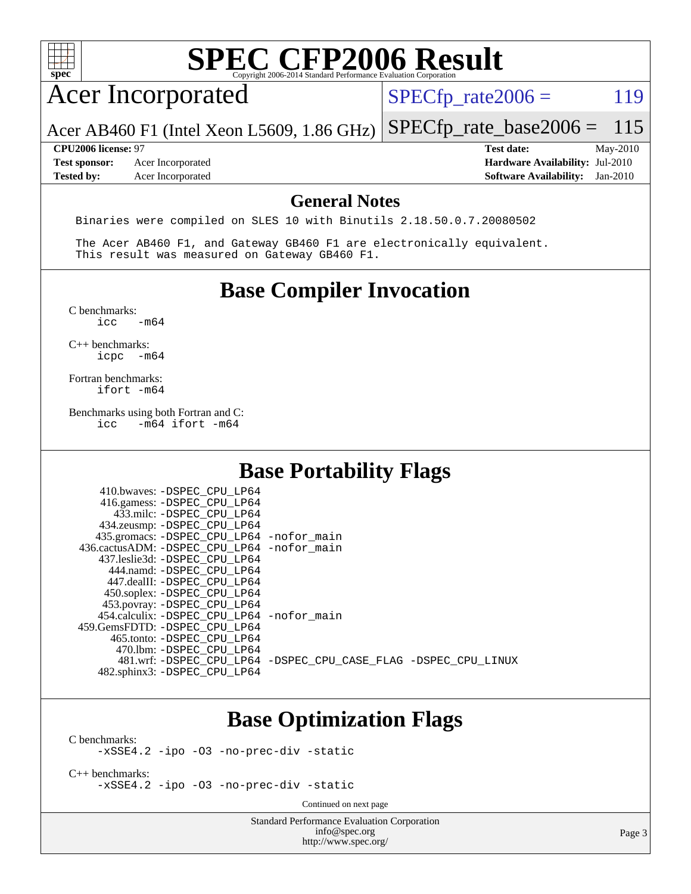

## **[Base Optimization Flags](http://www.spec.org/auto/cpu2006/Docs/result-fields.html#BaseOptimizationFlags)**

[C benchmarks](http://www.spec.org/auto/cpu2006/Docs/result-fields.html#Cbenchmarks):

[-xSSE4.2](http://www.spec.org/cpu2006/results/res2010q3/cpu2006-20100621-11867.flags.html#user_CCbase_f-xSSE42_f91528193cf0b216347adb8b939d4107) [-ipo](http://www.spec.org/cpu2006/results/res2010q3/cpu2006-20100621-11867.flags.html#user_CCbase_f-ipo) [-O3](http://www.spec.org/cpu2006/results/res2010q3/cpu2006-20100621-11867.flags.html#user_CCbase_f-O3) [-no-prec-div](http://www.spec.org/cpu2006/results/res2010q3/cpu2006-20100621-11867.flags.html#user_CCbase_f-no-prec-div) [-static](http://www.spec.org/cpu2006/results/res2010q3/cpu2006-20100621-11867.flags.html#user_CCbase_f-static)

[C++ benchmarks:](http://www.spec.org/auto/cpu2006/Docs/result-fields.html#CXXbenchmarks) [-xSSE4.2](http://www.spec.org/cpu2006/results/res2010q3/cpu2006-20100621-11867.flags.html#user_CXXbase_f-xSSE42_f91528193cf0b216347adb8b939d4107) [-ipo](http://www.spec.org/cpu2006/results/res2010q3/cpu2006-20100621-11867.flags.html#user_CXXbase_f-ipo) [-O3](http://www.spec.org/cpu2006/results/res2010q3/cpu2006-20100621-11867.flags.html#user_CXXbase_f-O3) [-no-prec-div](http://www.spec.org/cpu2006/results/res2010q3/cpu2006-20100621-11867.flags.html#user_CXXbase_f-no-prec-div) [-static](http://www.spec.org/cpu2006/results/res2010q3/cpu2006-20100621-11867.flags.html#user_CXXbase_f-static)

Continued on next page

Standard Performance Evaluation Corporation [info@spec.org](mailto:info@spec.org) <http://www.spec.org/>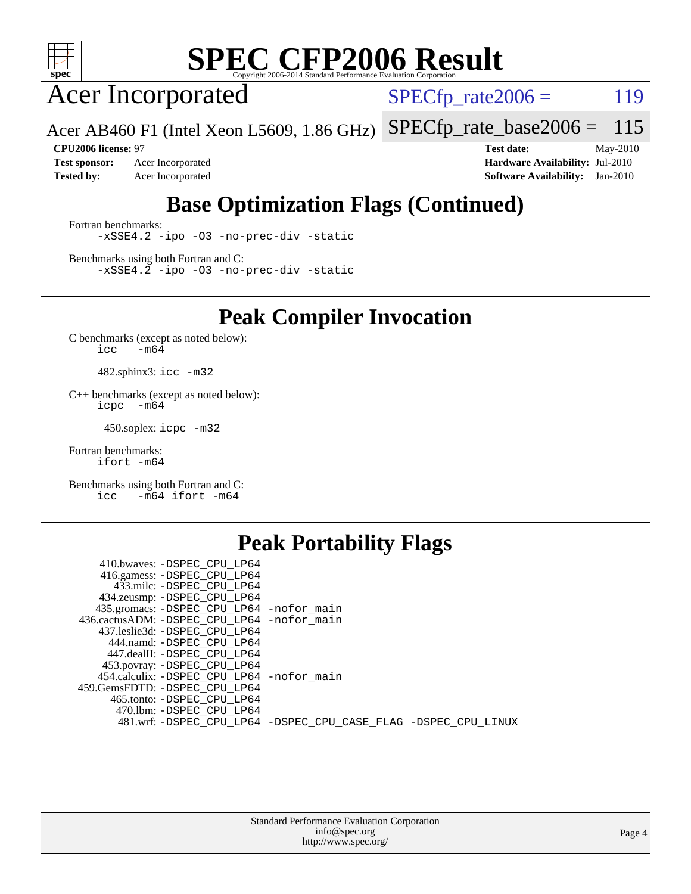

Acer Incorporated

 $SPECTp_rate2006 = 119$ 

Acer AB460 F1 (Intel Xeon L5609, 1.86 GHz) [SPECfp\\_rate\\_base2006 =](http://www.spec.org/auto/cpu2006/Docs/result-fields.html#SPECfpratebase2006) 115

**[Test sponsor:](http://www.spec.org/auto/cpu2006/Docs/result-fields.html#Testsponsor)** Acer Incorporated **[Hardware Availability:](http://www.spec.org/auto/cpu2006/Docs/result-fields.html#HardwareAvailability)** Jul-2010

**[CPU2006 license:](http://www.spec.org/auto/cpu2006/Docs/result-fields.html#CPU2006license)** 97 **[Test date:](http://www.spec.org/auto/cpu2006/Docs/result-fields.html#Testdate)** May-2010 **[Tested by:](http://www.spec.org/auto/cpu2006/Docs/result-fields.html#Testedby)** Acer Incorporated **[Software Availability:](http://www.spec.org/auto/cpu2006/Docs/result-fields.html#SoftwareAvailability)** Jan-2010

# **[Base Optimization Flags \(Continued\)](http://www.spec.org/auto/cpu2006/Docs/result-fields.html#BaseOptimizationFlags)**

[Fortran benchmarks](http://www.spec.org/auto/cpu2006/Docs/result-fields.html#Fortranbenchmarks): [-xSSE4.2](http://www.spec.org/cpu2006/results/res2010q3/cpu2006-20100621-11867.flags.html#user_FCbase_f-xSSE42_f91528193cf0b216347adb8b939d4107) [-ipo](http://www.spec.org/cpu2006/results/res2010q3/cpu2006-20100621-11867.flags.html#user_FCbase_f-ipo) [-O3](http://www.spec.org/cpu2006/results/res2010q3/cpu2006-20100621-11867.flags.html#user_FCbase_f-O3) [-no-prec-div](http://www.spec.org/cpu2006/results/res2010q3/cpu2006-20100621-11867.flags.html#user_FCbase_f-no-prec-div) [-static](http://www.spec.org/cpu2006/results/res2010q3/cpu2006-20100621-11867.flags.html#user_FCbase_f-static)

[Benchmarks using both Fortran and C](http://www.spec.org/auto/cpu2006/Docs/result-fields.html#BenchmarksusingbothFortranandC): [-xSSE4.2](http://www.spec.org/cpu2006/results/res2010q3/cpu2006-20100621-11867.flags.html#user_CC_FCbase_f-xSSE42_f91528193cf0b216347adb8b939d4107) [-ipo](http://www.spec.org/cpu2006/results/res2010q3/cpu2006-20100621-11867.flags.html#user_CC_FCbase_f-ipo) [-O3](http://www.spec.org/cpu2006/results/res2010q3/cpu2006-20100621-11867.flags.html#user_CC_FCbase_f-O3) [-no-prec-div](http://www.spec.org/cpu2006/results/res2010q3/cpu2006-20100621-11867.flags.html#user_CC_FCbase_f-no-prec-div) [-static](http://www.spec.org/cpu2006/results/res2010q3/cpu2006-20100621-11867.flags.html#user_CC_FCbase_f-static)

**[Peak Compiler Invocation](http://www.spec.org/auto/cpu2006/Docs/result-fields.html#PeakCompilerInvocation)**

[C benchmarks \(except as noted below\)](http://www.spec.org/auto/cpu2006/Docs/result-fields.html#Cbenchmarksexceptasnotedbelow):  $\text{icc}$  -m64

482.sphinx3: [icc -m32](http://www.spec.org/cpu2006/results/res2010q3/cpu2006-20100621-11867.flags.html#user_peakCCLD482_sphinx3_intel_icc_32bit_a6a621f8d50482236b970c6ac5f55f93)

[C++ benchmarks \(except as noted below\):](http://www.spec.org/auto/cpu2006/Docs/result-fields.html#CXXbenchmarksexceptasnotedbelow) [icpc -m64](http://www.spec.org/cpu2006/results/res2010q3/cpu2006-20100621-11867.flags.html#user_CXXpeak_intel_icpc_64bit_bedb90c1146cab66620883ef4f41a67e)

450.soplex: [icpc -m32](http://www.spec.org/cpu2006/results/res2010q3/cpu2006-20100621-11867.flags.html#user_peakCXXLD450_soplex_intel_icpc_32bit_4e5a5ef1a53fd332b3c49e69c3330699)

[Fortran benchmarks](http://www.spec.org/auto/cpu2006/Docs/result-fields.html#Fortranbenchmarks): [ifort -m64](http://www.spec.org/cpu2006/results/res2010q3/cpu2006-20100621-11867.flags.html#user_FCpeak_intel_ifort_64bit_ee9d0fb25645d0210d97eb0527dcc06e)

[Benchmarks using both Fortran and C](http://www.spec.org/auto/cpu2006/Docs/result-fields.html#BenchmarksusingbothFortranandC): [icc -m64](http://www.spec.org/cpu2006/results/res2010q3/cpu2006-20100621-11867.flags.html#user_CC_FCpeak_intel_icc_64bit_0b7121f5ab7cfabee23d88897260401c) [ifort -m64](http://www.spec.org/cpu2006/results/res2010q3/cpu2006-20100621-11867.flags.html#user_CC_FCpeak_intel_ifort_64bit_ee9d0fb25645d0210d97eb0527dcc06e)

## **[Peak Portability Flags](http://www.spec.org/auto/cpu2006/Docs/result-fields.html#PeakPortabilityFlags)**

| 410.bwaves: -DSPEC CPU LP64                                    |  |
|----------------------------------------------------------------|--|
| 416.gamess: -DSPEC_CPU_LP64                                    |  |
| 433.milc: -DSPEC CPU LP64                                      |  |
| 434.zeusmp: -DSPEC_CPU_LP64                                    |  |
| 435.gromacs: -DSPEC_CPU_LP64 -nofor_main                       |  |
| 436.cactusADM: -DSPEC CPU LP64 -nofor main                     |  |
| 437.leslie3d: -DSPEC CPU LP64                                  |  |
| 444.namd: -DSPEC CPU LP64                                      |  |
| 447.dealII: -DSPEC CPU LP64                                    |  |
| 453.povray: -DSPEC_CPU_LP64                                    |  |
| 454.calculix: -DSPEC_CPU_LP64 -nofor_main                      |  |
| 459.GemsFDTD: -DSPEC CPU LP64                                  |  |
| 465.tonto: -DSPEC CPU LP64                                     |  |
| 470.1bm: - DSPEC CPU LP64                                      |  |
| 481.wrf: -DSPEC_CPU_LP64 -DSPEC_CPU_CASE_FLAG -DSPEC_CPU_LINUX |  |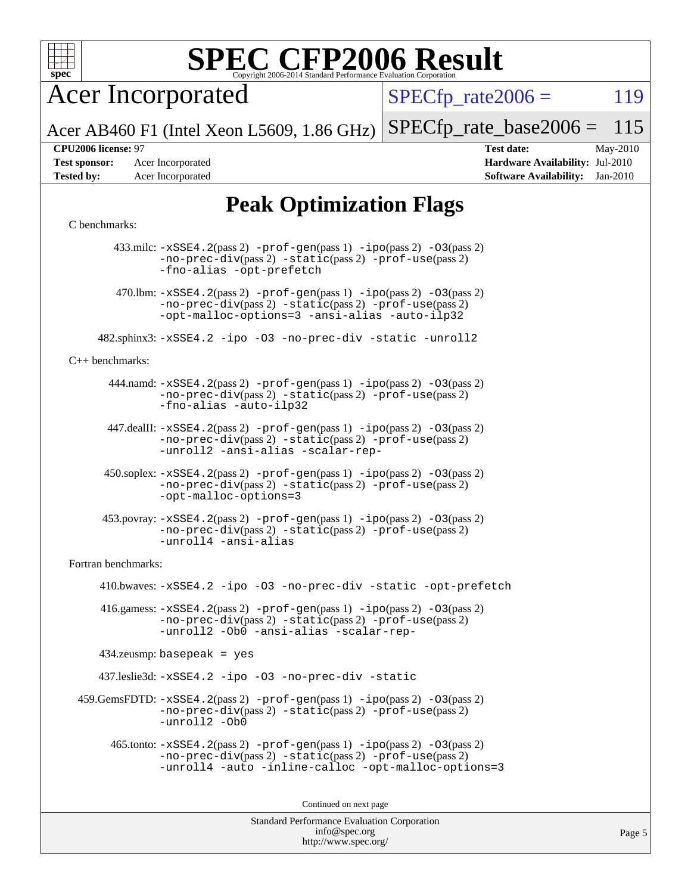

Acer Incorporated

 $SPECTp\_rate2006 = 119$ 

Acer AB460 F1 (Intel Xeon L5609, 1.86 GHz) [SPECfp\\_rate\\_base2006 =](http://www.spec.org/auto/cpu2006/Docs/result-fields.html#SPECfpratebase2006) 115

**[Test sponsor:](http://www.spec.org/auto/cpu2006/Docs/result-fields.html#Testsponsor)** Acer Incorporated **[Hardware Availability:](http://www.spec.org/auto/cpu2006/Docs/result-fields.html#HardwareAvailability)** Jul-2010

**[CPU2006 license:](http://www.spec.org/auto/cpu2006/Docs/result-fields.html#CPU2006license)** 97 **[Test date:](http://www.spec.org/auto/cpu2006/Docs/result-fields.html#Testdate)** May-2010 **[Tested by:](http://www.spec.org/auto/cpu2006/Docs/result-fields.html#Testedby)** Acer Incorporated **[Software Availability:](http://www.spec.org/auto/cpu2006/Docs/result-fields.html#SoftwareAvailability)** Jan-2010

# **[Peak Optimization Flags](http://www.spec.org/auto/cpu2006/Docs/result-fields.html#PeakOptimizationFlags)**

### [C benchmarks](http://www.spec.org/auto/cpu2006/Docs/result-fields.html#Cbenchmarks):

Standard Performance Evaluation Corporation 433.milc: [-xSSE4.2](http://www.spec.org/cpu2006/results/res2010q3/cpu2006-20100621-11867.flags.html#user_peakPASS2_CFLAGSPASS2_LDFLAGS433_milc_f-xSSE42_f91528193cf0b216347adb8b939d4107)(pass 2) [-prof-gen](http://www.spec.org/cpu2006/results/res2010q3/cpu2006-20100621-11867.flags.html#user_peakPASS1_CFLAGSPASS1_LDFLAGS433_milc_prof_gen_e43856698f6ca7b7e442dfd80e94a8fc)(pass 1) [-ipo](http://www.spec.org/cpu2006/results/res2010q3/cpu2006-20100621-11867.flags.html#user_peakPASS2_CFLAGSPASS2_LDFLAGS433_milc_f-ipo)(pass 2) [-O3](http://www.spec.org/cpu2006/results/res2010q3/cpu2006-20100621-11867.flags.html#user_peakPASS2_CFLAGSPASS2_LDFLAGS433_milc_f-O3)(pass 2) [-no-prec-div](http://www.spec.org/cpu2006/results/res2010q3/cpu2006-20100621-11867.flags.html#user_peakPASS2_CFLAGSPASS2_LDFLAGS433_milc_f-no-prec-div)(pass 2) [-static](http://www.spec.org/cpu2006/results/res2010q3/cpu2006-20100621-11867.flags.html#user_peakPASS2_CFLAGSPASS2_LDFLAGS433_milc_f-static)(pass 2) [-prof-use](http://www.spec.org/cpu2006/results/res2010q3/cpu2006-20100621-11867.flags.html#user_peakPASS2_CFLAGSPASS2_LDFLAGS433_milc_prof_use_bccf7792157ff70d64e32fe3e1250b55)(pass 2) [-fno-alias](http://www.spec.org/cpu2006/results/res2010q3/cpu2006-20100621-11867.flags.html#user_peakOPTIMIZE433_milc_f-no-alias_694e77f6c5a51e658e82ccff53a9e63a) [-opt-prefetch](http://www.spec.org/cpu2006/results/res2010q3/cpu2006-20100621-11867.flags.html#user_peakOPTIMIZE433_milc_f-opt-prefetch) 470.1bm:  $-xSSE4$ . 2(pass 2)  $-prof-gen(pass 1) -ipo(pass 2) -O3(pass 2)$  $-prof-gen(pass 1) -ipo(pass 2) -O3(pass 2)$  $-prof-gen(pass 1) -ipo(pass 2) -O3(pass 2)$  $-prof-gen(pass 1) -ipo(pass 2) -O3(pass 2)$  $-prof-gen(pass 1) -ipo(pass 2) -O3(pass 2)$  $-prof-gen(pass 1) -ipo(pass 2) -O3(pass 2)$ [-no-prec-div](http://www.spec.org/cpu2006/results/res2010q3/cpu2006-20100621-11867.flags.html#user_peakPASS2_CFLAGSPASS2_LDFLAGS470_lbm_f-no-prec-div)(pass 2) [-static](http://www.spec.org/cpu2006/results/res2010q3/cpu2006-20100621-11867.flags.html#user_peakPASS2_CFLAGSPASS2_LDFLAGS470_lbm_f-static)(pass 2) [-prof-use](http://www.spec.org/cpu2006/results/res2010q3/cpu2006-20100621-11867.flags.html#user_peakPASS2_CFLAGSPASS2_LDFLAGS470_lbm_prof_use_bccf7792157ff70d64e32fe3e1250b55)(pass 2) [-opt-malloc-options=3](http://www.spec.org/cpu2006/results/res2010q3/cpu2006-20100621-11867.flags.html#user_peakOPTIMIZE470_lbm_f-opt-malloc-options_13ab9b803cf986b4ee62f0a5998c2238) [-ansi-alias](http://www.spec.org/cpu2006/results/res2010q3/cpu2006-20100621-11867.flags.html#user_peakOPTIMIZE470_lbm_f-ansi-alias) [-auto-ilp32](http://www.spec.org/cpu2006/results/res2010q3/cpu2006-20100621-11867.flags.html#user_peakCOPTIMIZE470_lbm_f-auto-ilp32) 482.sphinx3: [-xSSE4.2](http://www.spec.org/cpu2006/results/res2010q3/cpu2006-20100621-11867.flags.html#user_peakOPTIMIZE482_sphinx3_f-xSSE42_f91528193cf0b216347adb8b939d4107) [-ipo](http://www.spec.org/cpu2006/results/res2010q3/cpu2006-20100621-11867.flags.html#user_peakOPTIMIZE482_sphinx3_f-ipo) [-O3](http://www.spec.org/cpu2006/results/res2010q3/cpu2006-20100621-11867.flags.html#user_peakOPTIMIZE482_sphinx3_f-O3) [-no-prec-div](http://www.spec.org/cpu2006/results/res2010q3/cpu2006-20100621-11867.flags.html#user_peakOPTIMIZE482_sphinx3_f-no-prec-div) [-static](http://www.spec.org/cpu2006/results/res2010q3/cpu2006-20100621-11867.flags.html#user_peakOPTIMIZE482_sphinx3_f-static) [-unroll2](http://www.spec.org/cpu2006/results/res2010q3/cpu2006-20100621-11867.flags.html#user_peakCOPTIMIZE482_sphinx3_f-unroll_784dae83bebfb236979b41d2422d7ec2) [C++ benchmarks:](http://www.spec.org/auto/cpu2006/Docs/result-fields.html#CXXbenchmarks) 444.namd: [-xSSE4.2](http://www.spec.org/cpu2006/results/res2010q3/cpu2006-20100621-11867.flags.html#user_peakPASS2_CXXFLAGSPASS2_LDFLAGS444_namd_f-xSSE42_f91528193cf0b216347adb8b939d4107)(pass 2) [-prof-gen](http://www.spec.org/cpu2006/results/res2010q3/cpu2006-20100621-11867.flags.html#user_peakPASS1_CXXFLAGSPASS1_LDFLAGS444_namd_prof_gen_e43856698f6ca7b7e442dfd80e94a8fc)(pass 1) [-ipo](http://www.spec.org/cpu2006/results/res2010q3/cpu2006-20100621-11867.flags.html#user_peakPASS2_CXXFLAGSPASS2_LDFLAGS444_namd_f-ipo)(pass 2) [-O3](http://www.spec.org/cpu2006/results/res2010q3/cpu2006-20100621-11867.flags.html#user_peakPASS2_CXXFLAGSPASS2_LDFLAGS444_namd_f-O3)(pass 2) [-no-prec-div](http://www.spec.org/cpu2006/results/res2010q3/cpu2006-20100621-11867.flags.html#user_peakPASS2_CXXFLAGSPASS2_LDFLAGS444_namd_f-no-prec-div)(pass 2) [-static](http://www.spec.org/cpu2006/results/res2010q3/cpu2006-20100621-11867.flags.html#user_peakPASS2_CXXFLAGSPASS2_LDFLAGS444_namd_f-static)(pass 2) [-prof-use](http://www.spec.org/cpu2006/results/res2010q3/cpu2006-20100621-11867.flags.html#user_peakPASS2_CXXFLAGSPASS2_LDFLAGS444_namd_prof_use_bccf7792157ff70d64e32fe3e1250b55)(pass 2) [-fno-alias](http://www.spec.org/cpu2006/results/res2010q3/cpu2006-20100621-11867.flags.html#user_peakCXXOPTIMIZE444_namd_f-no-alias_694e77f6c5a51e658e82ccff53a9e63a) [-auto-ilp32](http://www.spec.org/cpu2006/results/res2010q3/cpu2006-20100621-11867.flags.html#user_peakCXXOPTIMIZE444_namd_f-auto-ilp32) 447.dealII: [-xSSE4.2](http://www.spec.org/cpu2006/results/res2010q3/cpu2006-20100621-11867.flags.html#user_peakPASS2_CXXFLAGSPASS2_LDFLAGS447_dealII_f-xSSE42_f91528193cf0b216347adb8b939d4107)(pass 2) [-prof-gen](http://www.spec.org/cpu2006/results/res2010q3/cpu2006-20100621-11867.flags.html#user_peakPASS1_CXXFLAGSPASS1_LDFLAGS447_dealII_prof_gen_e43856698f6ca7b7e442dfd80e94a8fc)(pass 1) [-ipo](http://www.spec.org/cpu2006/results/res2010q3/cpu2006-20100621-11867.flags.html#user_peakPASS2_CXXFLAGSPASS2_LDFLAGS447_dealII_f-ipo)(pass 2) [-O3](http://www.spec.org/cpu2006/results/res2010q3/cpu2006-20100621-11867.flags.html#user_peakPASS2_CXXFLAGSPASS2_LDFLAGS447_dealII_f-O3)(pass 2) [-no-prec-div](http://www.spec.org/cpu2006/results/res2010q3/cpu2006-20100621-11867.flags.html#user_peakPASS2_CXXFLAGSPASS2_LDFLAGS447_dealII_f-no-prec-div)(pass 2) [-static](http://www.spec.org/cpu2006/results/res2010q3/cpu2006-20100621-11867.flags.html#user_peakPASS2_CXXFLAGSPASS2_LDFLAGS447_dealII_f-static)(pass 2) [-prof-use](http://www.spec.org/cpu2006/results/res2010q3/cpu2006-20100621-11867.flags.html#user_peakPASS2_CXXFLAGSPASS2_LDFLAGS447_dealII_prof_use_bccf7792157ff70d64e32fe3e1250b55)(pass 2) [-unroll2](http://www.spec.org/cpu2006/results/res2010q3/cpu2006-20100621-11867.flags.html#user_peakCXXOPTIMIZE447_dealII_f-unroll_784dae83bebfb236979b41d2422d7ec2) [-ansi-alias](http://www.spec.org/cpu2006/results/res2010q3/cpu2006-20100621-11867.flags.html#user_peakCXXOPTIMIZE447_dealII_f-ansi-alias) [-scalar-rep-](http://www.spec.org/cpu2006/results/res2010q3/cpu2006-20100621-11867.flags.html#user_peakCXXOPTIMIZE447_dealII_f-disablescalarrep_abbcad04450fb118e4809c81d83c8a1d) 450.soplex: [-xSSE4.2](http://www.spec.org/cpu2006/results/res2010q3/cpu2006-20100621-11867.flags.html#user_peakPASS2_CXXFLAGSPASS2_LDFLAGS450_soplex_f-xSSE42_f91528193cf0b216347adb8b939d4107)(pass 2) [-prof-gen](http://www.spec.org/cpu2006/results/res2010q3/cpu2006-20100621-11867.flags.html#user_peakPASS1_CXXFLAGSPASS1_LDFLAGS450_soplex_prof_gen_e43856698f6ca7b7e442dfd80e94a8fc)(pass 1) [-ipo](http://www.spec.org/cpu2006/results/res2010q3/cpu2006-20100621-11867.flags.html#user_peakPASS2_CXXFLAGSPASS2_LDFLAGS450_soplex_f-ipo)(pass 2) [-O3](http://www.spec.org/cpu2006/results/res2010q3/cpu2006-20100621-11867.flags.html#user_peakPASS2_CXXFLAGSPASS2_LDFLAGS450_soplex_f-O3)(pass 2) [-no-prec-div](http://www.spec.org/cpu2006/results/res2010q3/cpu2006-20100621-11867.flags.html#user_peakPASS2_CXXFLAGSPASS2_LDFLAGS450_soplex_f-no-prec-div)(pass 2) [-static](http://www.spec.org/cpu2006/results/res2010q3/cpu2006-20100621-11867.flags.html#user_peakPASS2_CXXFLAGSPASS2_LDFLAGS450_soplex_f-static)(pass 2) [-prof-use](http://www.spec.org/cpu2006/results/res2010q3/cpu2006-20100621-11867.flags.html#user_peakPASS2_CXXFLAGSPASS2_LDFLAGS450_soplex_prof_use_bccf7792157ff70d64e32fe3e1250b55)(pass 2) [-opt-malloc-options=3](http://www.spec.org/cpu2006/results/res2010q3/cpu2006-20100621-11867.flags.html#user_peakOPTIMIZE450_soplex_f-opt-malloc-options_13ab9b803cf986b4ee62f0a5998c2238) 453.povray: [-xSSE4.2](http://www.spec.org/cpu2006/results/res2010q3/cpu2006-20100621-11867.flags.html#user_peakPASS2_CXXFLAGSPASS2_LDFLAGS453_povray_f-xSSE42_f91528193cf0b216347adb8b939d4107)(pass 2) [-prof-gen](http://www.spec.org/cpu2006/results/res2010q3/cpu2006-20100621-11867.flags.html#user_peakPASS1_CXXFLAGSPASS1_LDFLAGS453_povray_prof_gen_e43856698f6ca7b7e442dfd80e94a8fc)(pass 1) [-ipo](http://www.spec.org/cpu2006/results/res2010q3/cpu2006-20100621-11867.flags.html#user_peakPASS2_CXXFLAGSPASS2_LDFLAGS453_povray_f-ipo)(pass 2) [-O3](http://www.spec.org/cpu2006/results/res2010q3/cpu2006-20100621-11867.flags.html#user_peakPASS2_CXXFLAGSPASS2_LDFLAGS453_povray_f-O3)(pass 2) [-no-prec-div](http://www.spec.org/cpu2006/results/res2010q3/cpu2006-20100621-11867.flags.html#user_peakPASS2_CXXFLAGSPASS2_LDFLAGS453_povray_f-no-prec-div)(pass 2) [-static](http://www.spec.org/cpu2006/results/res2010q3/cpu2006-20100621-11867.flags.html#user_peakPASS2_CXXFLAGSPASS2_LDFLAGS453_povray_f-static)(pass 2) [-prof-use](http://www.spec.org/cpu2006/results/res2010q3/cpu2006-20100621-11867.flags.html#user_peakPASS2_CXXFLAGSPASS2_LDFLAGS453_povray_prof_use_bccf7792157ff70d64e32fe3e1250b55)(pass 2) [-unroll4](http://www.spec.org/cpu2006/results/res2010q3/cpu2006-20100621-11867.flags.html#user_peakCXXOPTIMIZE453_povray_f-unroll_4e5e4ed65b7fd20bdcd365bec371b81f) [-ansi-alias](http://www.spec.org/cpu2006/results/res2010q3/cpu2006-20100621-11867.flags.html#user_peakCXXOPTIMIZE453_povray_f-ansi-alias) [Fortran benchmarks](http://www.spec.org/auto/cpu2006/Docs/result-fields.html#Fortranbenchmarks): 410.bwaves: [-xSSE4.2](http://www.spec.org/cpu2006/results/res2010q3/cpu2006-20100621-11867.flags.html#user_peakOPTIMIZE410_bwaves_f-xSSE42_f91528193cf0b216347adb8b939d4107) [-ipo](http://www.spec.org/cpu2006/results/res2010q3/cpu2006-20100621-11867.flags.html#user_peakOPTIMIZE410_bwaves_f-ipo) [-O3](http://www.spec.org/cpu2006/results/res2010q3/cpu2006-20100621-11867.flags.html#user_peakOPTIMIZE410_bwaves_f-O3) [-no-prec-div](http://www.spec.org/cpu2006/results/res2010q3/cpu2006-20100621-11867.flags.html#user_peakOPTIMIZE410_bwaves_f-no-prec-div) [-static](http://www.spec.org/cpu2006/results/res2010q3/cpu2006-20100621-11867.flags.html#user_peakOPTIMIZE410_bwaves_f-static) [-opt-prefetch](http://www.spec.org/cpu2006/results/res2010q3/cpu2006-20100621-11867.flags.html#user_peakOPTIMIZE410_bwaves_f-opt-prefetch) 416.gamess:  $-xSSE4$ . 2(pass 2)  $-prof-gen(pass 1) -ipo(pass 2) -O3(pass 2)$  $-prof-gen(pass 1) -ipo(pass 2) -O3(pass 2)$  $-prof-gen(pass 1) -ipo(pass 2) -O3(pass 2)$  $-prof-gen(pass 1) -ipo(pass 2) -O3(pass 2)$  $-prof-gen(pass 1) -ipo(pass 2) -O3(pass 2)$  $-prof-gen(pass 1) -ipo(pass 2) -O3(pass 2)$ [-no-prec-div](http://www.spec.org/cpu2006/results/res2010q3/cpu2006-20100621-11867.flags.html#user_peakPASS2_FFLAGSPASS2_LDFLAGS416_gamess_f-no-prec-div)(pass 2) [-static](http://www.spec.org/cpu2006/results/res2010q3/cpu2006-20100621-11867.flags.html#user_peakPASS2_FFLAGSPASS2_LDFLAGS416_gamess_f-static)(pass 2) [-prof-use](http://www.spec.org/cpu2006/results/res2010q3/cpu2006-20100621-11867.flags.html#user_peakPASS2_FFLAGSPASS2_LDFLAGS416_gamess_prof_use_bccf7792157ff70d64e32fe3e1250b55)(pass 2) [-unroll2](http://www.spec.org/cpu2006/results/res2010q3/cpu2006-20100621-11867.flags.html#user_peakOPTIMIZE416_gamess_f-unroll_784dae83bebfb236979b41d2422d7ec2) [-Ob0](http://www.spec.org/cpu2006/results/res2010q3/cpu2006-20100621-11867.flags.html#user_peakOPTIMIZE416_gamess_f-Ob_n_fbe6f6428adb7d4b74b1e99bb2444c2d) [-ansi-alias](http://www.spec.org/cpu2006/results/res2010q3/cpu2006-20100621-11867.flags.html#user_peakOPTIMIZE416_gamess_f-ansi-alias) [-scalar-rep-](http://www.spec.org/cpu2006/results/res2010q3/cpu2006-20100621-11867.flags.html#user_peakOPTIMIZE416_gamess_f-disablescalarrep_abbcad04450fb118e4809c81d83c8a1d) 434.zeusmp: basepeak = yes 437.leslie3d: [-xSSE4.2](http://www.spec.org/cpu2006/results/res2010q3/cpu2006-20100621-11867.flags.html#user_peakOPTIMIZE437_leslie3d_f-xSSE42_f91528193cf0b216347adb8b939d4107) [-ipo](http://www.spec.org/cpu2006/results/res2010q3/cpu2006-20100621-11867.flags.html#user_peakOPTIMIZE437_leslie3d_f-ipo) [-O3](http://www.spec.org/cpu2006/results/res2010q3/cpu2006-20100621-11867.flags.html#user_peakOPTIMIZE437_leslie3d_f-O3) [-no-prec-div](http://www.spec.org/cpu2006/results/res2010q3/cpu2006-20100621-11867.flags.html#user_peakOPTIMIZE437_leslie3d_f-no-prec-div) [-static](http://www.spec.org/cpu2006/results/res2010q3/cpu2006-20100621-11867.flags.html#user_peakOPTIMIZE437_leslie3d_f-static)  $459$ .GemsFDTD:  $-xSSE4$ .  $2(pass 2)$  [-prof-gen](http://www.spec.org/cpu2006/results/res2010q3/cpu2006-20100621-11867.flags.html#user_peakPASS1_FFLAGSPASS1_LDFLAGS459_GemsFDTD_prof_gen_e43856698f6ca7b7e442dfd80e94a8fc)(pass 1) [-ipo](http://www.spec.org/cpu2006/results/res2010q3/cpu2006-20100621-11867.flags.html#user_peakPASS2_FFLAGSPASS2_LDFLAGS459_GemsFDTD_f-ipo)(pass 2) -03(pass 2) [-no-prec-div](http://www.spec.org/cpu2006/results/res2010q3/cpu2006-20100621-11867.flags.html#user_peakPASS2_FFLAGSPASS2_LDFLAGS459_GemsFDTD_f-no-prec-div)(pass 2) [-static](http://www.spec.org/cpu2006/results/res2010q3/cpu2006-20100621-11867.flags.html#user_peakPASS2_FFLAGSPASS2_LDFLAGS459_GemsFDTD_f-static)(pass 2) [-prof-use](http://www.spec.org/cpu2006/results/res2010q3/cpu2006-20100621-11867.flags.html#user_peakPASS2_FFLAGSPASS2_LDFLAGS459_GemsFDTD_prof_use_bccf7792157ff70d64e32fe3e1250b55)(pass 2) [-unroll2](http://www.spec.org/cpu2006/results/res2010q3/cpu2006-20100621-11867.flags.html#user_peakOPTIMIZE459_GemsFDTD_f-unroll_784dae83bebfb236979b41d2422d7ec2) [-Ob0](http://www.spec.org/cpu2006/results/res2010q3/cpu2006-20100621-11867.flags.html#user_peakOPTIMIZE459_GemsFDTD_f-Ob_n_fbe6f6428adb7d4b74b1e99bb2444c2d) 465.tonto: [-xSSE4.2](http://www.spec.org/cpu2006/results/res2010q3/cpu2006-20100621-11867.flags.html#user_peakPASS2_FFLAGSPASS2_LDFLAGS465_tonto_f-xSSE42_f91528193cf0b216347adb8b939d4107)(pass 2) [-prof-gen](http://www.spec.org/cpu2006/results/res2010q3/cpu2006-20100621-11867.flags.html#user_peakPASS1_FFLAGSPASS1_LDFLAGS465_tonto_prof_gen_e43856698f6ca7b7e442dfd80e94a8fc)(pass 1) [-ipo](http://www.spec.org/cpu2006/results/res2010q3/cpu2006-20100621-11867.flags.html#user_peakPASS2_FFLAGSPASS2_LDFLAGS465_tonto_f-ipo)(pass 2) [-O3](http://www.spec.org/cpu2006/results/res2010q3/cpu2006-20100621-11867.flags.html#user_peakPASS2_FFLAGSPASS2_LDFLAGS465_tonto_f-O3)(pass 2) [-no-prec-div](http://www.spec.org/cpu2006/results/res2010q3/cpu2006-20100621-11867.flags.html#user_peakPASS2_FFLAGSPASS2_LDFLAGS465_tonto_f-no-prec-div)(pass 2) [-static](http://www.spec.org/cpu2006/results/res2010q3/cpu2006-20100621-11867.flags.html#user_peakPASS2_FFLAGSPASS2_LDFLAGS465_tonto_f-static)(pass 2) [-prof-use](http://www.spec.org/cpu2006/results/res2010q3/cpu2006-20100621-11867.flags.html#user_peakPASS2_FFLAGSPASS2_LDFLAGS465_tonto_prof_use_bccf7792157ff70d64e32fe3e1250b55)(pass 2) [-unroll4](http://www.spec.org/cpu2006/results/res2010q3/cpu2006-20100621-11867.flags.html#user_peakOPTIMIZE465_tonto_f-unroll_4e5e4ed65b7fd20bdcd365bec371b81f) [-auto](http://www.spec.org/cpu2006/results/res2010q3/cpu2006-20100621-11867.flags.html#user_peakOPTIMIZE465_tonto_f-auto) [-inline-calloc](http://www.spec.org/cpu2006/results/res2010q3/cpu2006-20100621-11867.flags.html#user_peakOPTIMIZE465_tonto_f-inline-calloc) [-opt-malloc-options=3](http://www.spec.org/cpu2006/results/res2010q3/cpu2006-20100621-11867.flags.html#user_peakOPTIMIZE465_tonto_f-opt-malloc-options_13ab9b803cf986b4ee62f0a5998c2238) Continued on next page

> [info@spec.org](mailto:info@spec.org) <http://www.spec.org/>